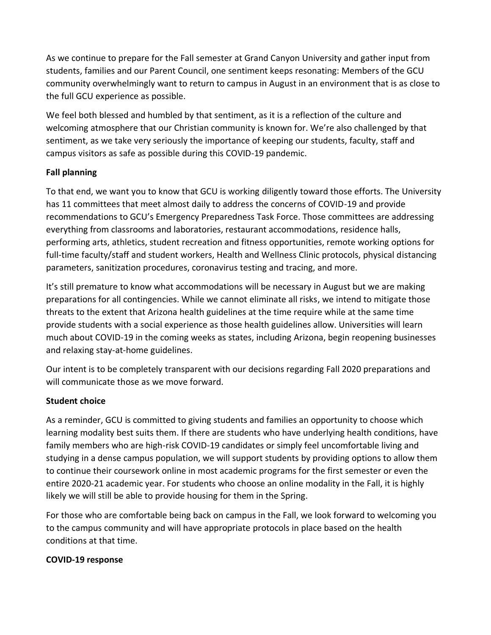As we continue to prepare for the Fall semester at Grand Canyon University and gather input from students, families and our Parent Council, one sentiment keeps resonating: Members of the GCU community overwhelmingly want to return to campus in August in an environment that is as close to the full GCU experience as possible.

We feel both blessed and humbled by that sentiment, as it is a reflection of the culture and welcoming atmosphere that our Christian community is known for. We're also challenged by that sentiment, as we take very seriously the importance of keeping our students, faculty, staff and campus visitors as safe as possible during this COVID-19 pandemic.

## **Fall planning**

To that end, we want you to know that GCU is working diligently toward those efforts. The University has 11 committees that meet almost daily to address the concerns of COVID-19 and provide recommendations to GCU's Emergency Preparedness Task Force. Those committees are addressing everything from classrooms and laboratories, restaurant accommodations, residence halls, performing arts, athletics, student recreation and fitness opportunities, remote working options for full-time faculty/staff and student workers, Health and Wellness Clinic protocols, physical distancing parameters, sanitization procedures, coronavirus testing and tracing, and more.

It's still premature to know what accommodations will be necessary in August but we are making preparations for all contingencies. While we cannot eliminate all risks, we intend to mitigate those threats to the extent that Arizona health guidelines at the time require while at the same time provide students with a social experience as those health guidelines allow. Universities will learn much about COVID-19 in the coming weeks as states, including Arizona, begin reopening businesses and relaxing stay-at-home guidelines.

Our intent is to be completely transparent with our decisions regarding Fall 2020 preparations and will communicate those as we move forward.

## **Student choice**

As a reminder, GCU is committed to giving students and families an opportunity to choose which learning modality best suits them. If there are students who have underlying health conditions, have family members who are high-risk COVID-19 candidates or simply feel uncomfortable living and studying in a dense campus population, we will support students by providing options to allow them to continue their coursework online in most academic programs for the first semester or even the entire 2020-21 academic year. For students who choose an online modality in the Fall, it is highly likely we will still be able to provide housing for them in the Spring.

For those who are comfortable being back on campus in the Fall, we look forward to welcoming you to the campus community and will have appropriate protocols in place based on the health conditions at that time.

## **COVID-19 response**